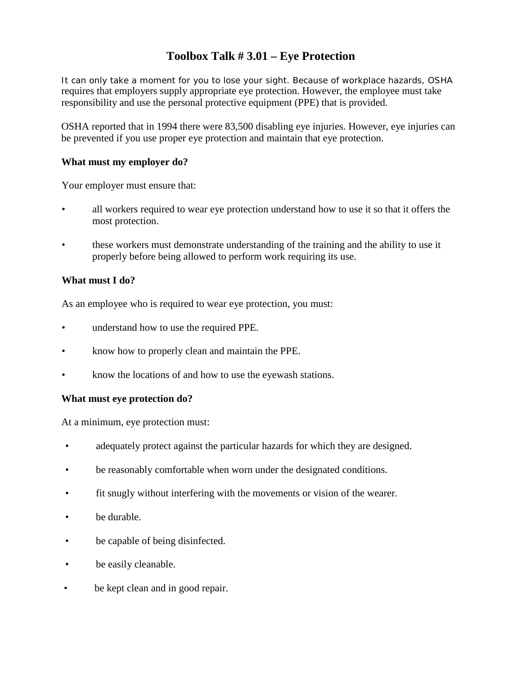### **Toolbox Talk # 3.01 – Eye Protection**

It can only take a moment for you to lose your sight. Because of workplace hazards, OSHA requires that employers supply appropriate eye protection. However, the employee must take responsibility and use the personal protective equipment (PPE) that is provided.

OSHA reported that in 1994 there were 83,500 disabling eye injuries. However, eye injuries can be prevented if you use proper eye protection and maintain that eye protection.

### **What must my employer do?**

Your employer must ensure that:

- all workers required to wear eye protection understand how to use it so that it offers the most protection.
- these workers must demonstrate understanding of the training and the ability to use it properly before being allowed to perform work requiring its use.

#### **What must I do?**

As an employee who is required to wear eye protection, you must:

- understand how to use the required PPE.
- know how to properly clean and maintain the PPE.
- know the locations of and how to use the eyewash stations.

#### **What must eye protection do?**

At a minimum, eye protection must:

- adequately protect against the particular hazards for which they are designed.
- be reasonably comfortable when worn under the designated conditions.
- fit snugly without interfering with the movements or vision of the wearer.
- be durable.
- be capable of being disinfected.
- be easily cleanable.
- be kept clean and in good repair.